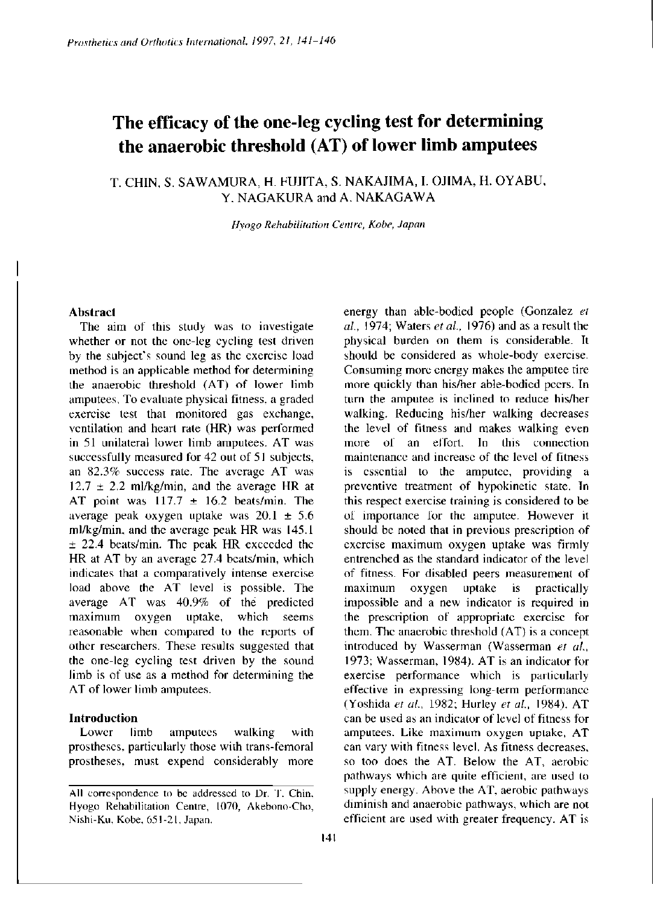# **The efficacy of the one-leg cycling test for determining the anaerobic threshold (AT) of lower limb amputees**

# T. CHIN, S. SAWAMURA , H. FUJITA, S. NAKAJIMA , I. OJIMA, H. OYABU, Y. NAGAKURA and A. NAKAGAWA

*Hyogo Rehabilitation Centre, Kobe, Japan* 

# **Abstract**

The aim of this study was to investigate whether or not the one-leg cycling test driven by the subject's sound leg as the exercise load method is an applicable method for determining the anaerobic threshold (AT) of lower limb amputees. To evaluate physical fitness, a graded exercise test that monitored gas exchange, ventilation and heart rate (HR) was performed in 51 unilateral lower limb amputees. AT was successfully measured for 42 out of 51 subjects, an 82.3% success rate. The average AT was  $12.7 \pm 2.2$  ml/kg/min, and the average HR at AT point was  $117.7 \pm 16.2$  beats/min. The average peak oxygen uptake was  $20.1 \pm 5.6$ ml/kg/min, and the average peak HR was 145.1 ± 22.4 beats/min. The peak HR exceeded the HR at AT by an average 27.4 beats/min, which indicates that a comparatively intense exercise load above the AT level is possible. The average AT was 40.9% of the predicted maximum oxygen uptake, which seems reasonable when compared to the reports of other researchers. These results suggested that the one-leg cycling test driven by the sound limb is of use as a method for determining the AT of lower limb amputees.

## **Introduction**

Lower limb amputees walking with prostheses, particularly those with trans-femoral prostheses, must expend considerably more *al.,* 1974; Waters *et al.,* 1976) and as a result the physical burden on them is considerable. It should be considered as whole-body exercise. Consuming more energy makes the amputee tire more quickly than his/her able-bodied peers. In turn the amputee is inclined to reduce his/her walking. Reducing his/her walking decreases the level of fitness and makes walking even more of an effort. In this connection maintenance and increase of the level of fitness is essential to the amputee, providing a preventive treatment of hypokinetic state. In this respect exercise training is considered to be of importance for the amputee. However it should be noted that in previous prescription of exercise maximum oxygen uptake was firmly entrenched as the standard indicator of the level of fitness. For disabled peers measurement of maximum oxygen uptake is practically impossible and a new indicator is required in the prescription of appropriate exercise for them. The anaerobic threshold (AT) is a concept introduced by Wasserman (Wasserman *et al.,*  1973; Wasserman, 1984). AT is an indicator for exercise performance which is particularly effective in expressing long-term performance (Yoshida *et al.,* 1982; Hurley *et al.,* 1984). AT can be used as an indicator of level of fitness for amputees. Like maximum oxygen uptake, AT can vary with fitness level. As fitness decreases, so too does the AT. Below the AT, aerobic pathways which are quite efficient, are used to supply energy. Above the AT, aerobic pathways diminish and anaerobic pathways, which are not efficient are used with greater frequency. AT is

energy than able-bodied people (Gonzalez *et* 

**All correspondence to be addressed to Dr. T. Chin, Hyogo Rehabilitation Centre, 1070, Akebono-Cho, Nishi-Ku, Kobe, 651 -21, Japan.**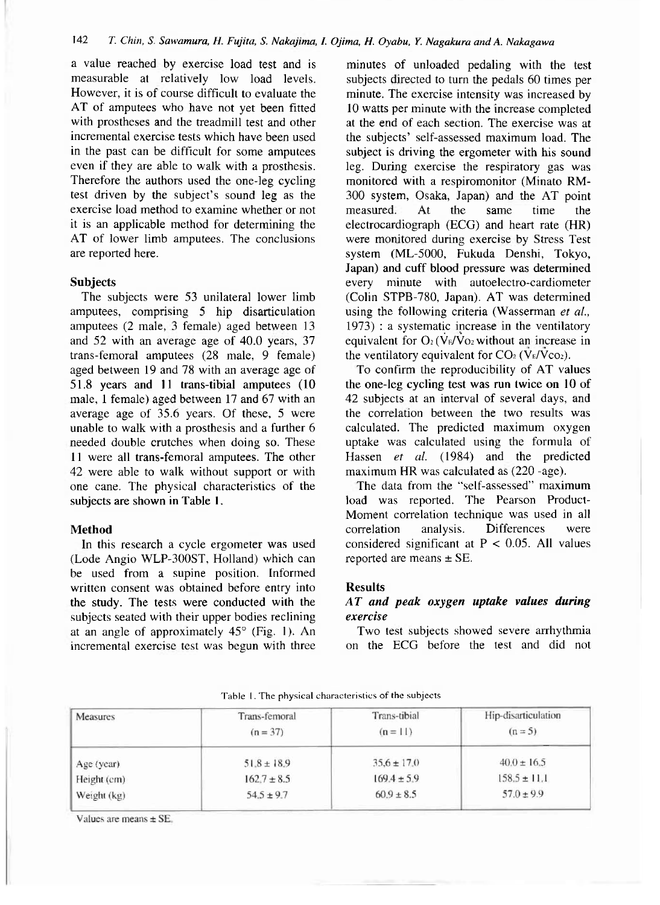a value reached by exercise load test and is measurable at relatively low load levels. However, it is of course difficult to evaluate the AT of amputees who have not yet been fitted with prostheses and the treadmill test and other incremental exercise tests which have been used in the past can be difficult for some amputees even if they are able to walk with a prosthesis. Therefore the authors used the one-leg cycling test driven by the subject's sound leg as the exercise load method to examine whether or not it is an applicable method for determining the AT of lower limb amputees. The conclusions are reported here.

## **Subjects**

The subjects were 53 unilateral lower limb amputees, comprising 5 hip disarticulation amputees (2 male, 3 female) aged between 13 and 52 with an average age of 40.0 years, 37 trans-femoral amputees (28 male, 9 female) aged between 19 and 78 with an average age of 51.8 years and 11 trans-tibial amputees (10 male, 1 female) aged between 17 and 67 with an average age of 35.6 years. Of these, 5 were unable to walk with a prosthesis and a further 6 needed double crutches when doing so. These 11 were all trans-femoral amputees. The other 42 were able to walk without support or with one cane. The physical characteristics of the subjects are shown in Table 1.

#### **Method**

In this research a cycle ergometer was used (Lode Angio WLP-300ST, Holland) which can be used from a supine position. Informed written consent was obtained before entry into the study. The tests were conducted with the subjects seated with their upper bodies reclining at an angle of approximately  $45^{\circ}$  (Fig. 1). An incremental exercise test was begun with three

minutes of unloaded pedaling with the test subjects directed to turn the pedals 60 times per minute. The exercise intensity was increased by 10 watts per minute with the increase completed at the end of each section. The exercise was at the subjects' self-assessed maximum load. The subject is driving the ergometer with his sound leg. During exercise the respiratory gas was monitored with a respiromonitor (Minato RM-300 system, Osaka, Japan) and the AT point measured. At the same time the electrocardiograph (ECG) and heart rate (HR) were monitored during exercise by Stress Test system (ML-5000, Fukuda Denshi, Tokyo, Japan) and cuff blood pressure was determined every minute with autoelectro-cardiometer (Colin STPB-780, Japan). AT was determined using the following criteria (Wasserman *et al.,*  1973) : a systematic increase in the ventilatory equivalent for  $O_2$  ( $V_F/V_{O_2}$  without an increase in the ventilatory equivalent for  $CO<sub>2</sub>$  ( $\overrightarrow{V}_{E}/\overrightarrow{V}_{CO_2}$ ).

To confirm the reproducibility of AT values the one-leg cycling test was run twice on 10 of 42 subjects at an interval of several days, and the correlation between the two results was calculated. The predicted maximum oxygen uptake was calculated using the formula of Hassen *et al.* (1984) and the predicted maximum HR was calculated as (220 -age).

The data from the "self-assessed" maximum load was reported. The Pearson Product-Moment correlation technique was used in all correlation analysis. Differences were considered significant at  $P < 0.05$ . All values reported are means  $\pm$  SE.

#### **Results**

# *AT and peak oxygen uptake values during exercise*

Two test subjects showed severe arrhythmia on the ECG before the test and did not

| <b>Measures</b> | Trans-femoral<br>$(n = 37)$ | Trans-tibial<br>$(n = 11)$ | Hip-disarticulation<br>$(n=5)$ |
|-----------------|-----------------------------|----------------------------|--------------------------------|
| Age (year)      | $51.8 \pm 18.9$             | $35.6 \pm 17.0$            | $40.0 \pm 16.5$                |
| Height (cm)     | $162.7 \pm 8.5$             | $169.4 \pm 5.9$            | $158.5 \pm 11.1$               |
| Weight (kg)     | $54.5 \pm 9.7$              | $60.9 \pm 8.5$             | $57.0 \pm 9.9$                 |

Table 1**.** The physical characteristics of the subjects

Values are means  $\pm$  SE.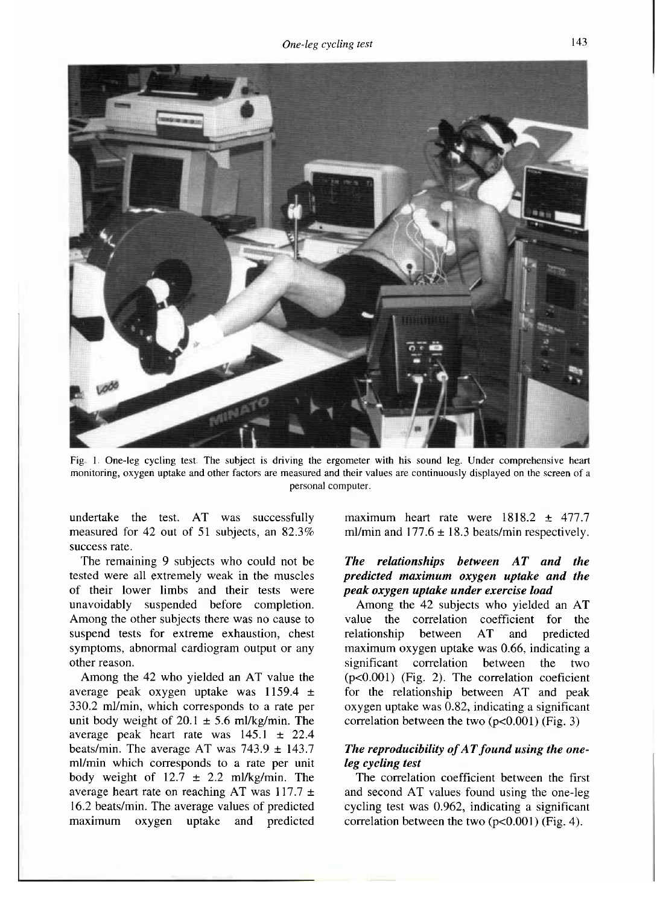

**Fig. 1. One-leg cycling test The subject is driving the ergometer with his sound leg. Under comprehensive heart monitoring, oxygen uptake and other factors are measured and their values are continuously displayed on the screen of a personal computer.** 

undertake the test. AT was successfully measured for 42 out of 51 subjects, an 82.3% success rate.

The remaining 9 subjects who could not be tested were all extremely weak in the muscles of their lower limbs and their tests were unavoidably suspended before completion. Among the other subjects there was no cause to suspend tests for extreme exhaustion, chest symptoms, abnormal cardiogram output or any other reason.

Among the 42 who yielded an AT value the average peak oxygen uptake was 1159.4 ± 330.2 ml/min, which corresponds to a rate per unit body weight of  $20.1 \pm 5.6$  ml/kg/min. The average peak heart rate was 145.1 ± 22.4 beats/min. The average AT was  $743.9 \pm 143.7$ ml/min which corresponds to a rate per unit body weight of  $12.7 \pm 2.2$  ml/kg/min. The average heart rate on reaching AT was  $117.7 \pm$ 16.2 beats/min. The average values of predicted maximum oxygen uptake and predicted maximum heart rate were 1818.2 ± 477.7 ml/min and  $177.6 \pm 18.3$  beats/min respectively.

# *The relationships between AT and the predicted maximum oxygen uptake and the peak oxygen uptake under exercise load*

Among the 42 subjects who yielded an AT value the correlation coefficient for the relationship between AT and predicted maximum oxygen uptake was 0.66, indicating a significant correlation between the two (p<0.001) (Fig. 2). The correlation coeficient for the relationship between AT and peak oxygen uptake was 0.82, indicating a significant correlation between the two  $(p<0.001)$  (Fig. 3)

## *The reproducibility of AT found using the oneleg cycling test*

The correlation coefficient between the first and second AT values found using the one-leg cycling test was 0.962, indicating a significant correlation between the two  $(p<0.001)$  (Fig. 4).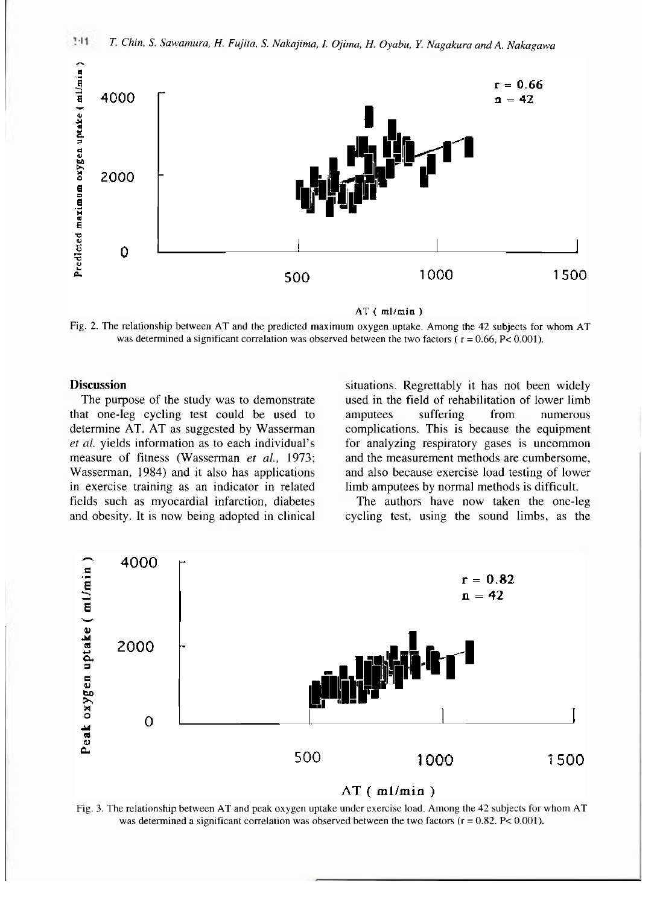

 $AT$  ( $ml/min$ )

**Fig. 2. The relationship between AT and the predicted maximum oxygen uptake. Among the 42 subjects for whom AT**  was determined a significant correlation was observed between the two factors ( $r = 0.66$ ,  $P < 0.001$ ).

## **Discussion**

The purpose of the study was to demonstrate that one-leg cycling test could be used to determine AT. AT as suggested by Wasserman *et al.* yields information as to each individual's measure of fitness (Wasserman *et al.,* 1973; Wasserman, 1984) and it also has applications in exercise training as an indicator in related fields such as myocardial infarction, diabetes and obesity. It is now being adopted in clinical situations. Regrettably it has not been widely used in the field of rehabilitation of lower limb amputees suffering from numerous complications. This is because the equipment for analyzing respiratory gases is uncommon and the measurement methods are cumbersome, and also because exercise load testing of lower limb amputees by normal methods is difficult.

The authors have now taken the one-leg cycling test, using the sound limbs, as the



 $AT(ml/min)$ 

**Fig. 3. The relationship between AT and peak oxygen uptake under exercise load. Among the 42 subjects for whom AT**  was determined a significant correlation was observed between the two factors  $(r = 0.82, P < 0.001)$ .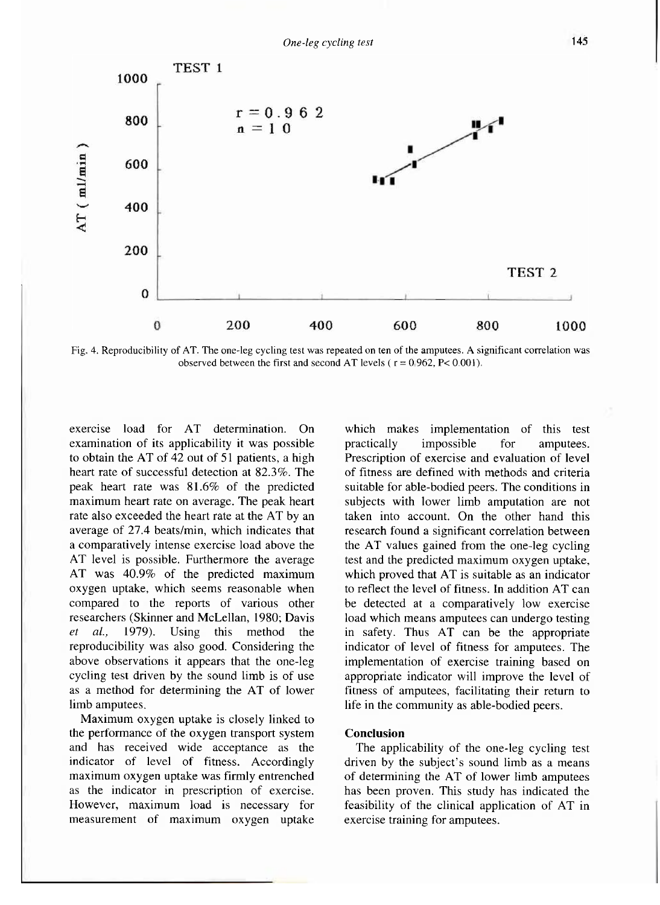

**Fig. 4. Reproducibility of AT. The one-leg cycling test was repeated on ten of the amputees. A significant correlation was observed between the first and second AT levels (** $r = 0.962$ **,**  $P < 0.001$ **).** 

exercise load for AT determination. On examination of its applicability it was possible to obtain the AT of 42 out of 51 patients, a high heart rate of successful detection at 82.3%. The peak heart rate was 81.6% of the predicted maximum heart rate on average. The peak heart rate also exceeded the heart rate at the AT by an average of 27.4 beats/min, which indicates that a comparatively intense exercise load above the AT level is possible. Furthermore the average AT was 40.9% of the predicted maximum oxygen uptake, which seems reasonable when compared to the reports of various other researchers (Sklnner and McLellan, 1980; Davis *et al.,* 1979). Using this method the reproducibility was also good. Considering the above observations it appears that the one-leg cycling test driven by the sound limb is of use as a method for determining the AT of lower limb amputees.

Maximum oxygen uptake is closely linked to the performance of the oxygen transport system and has received wide acceptance as the indicator of level of fitness. Accordingly maximum oxygen uptake was firmly entrenched as the indicator in prescription of exercise. However, maximum load is necessary for measurement of maximum oxygen uptake

which makes implementation of this test practically impossible for amputees. Prescription of exercise and evaluation of level of fitness are defined with methods and criteria suitable for able-bodied peers. The conditions in subjects with lower limb amputation are not taken into account. On the other hand this research found a significant correlation between the AT values gained from the one-leg cycling test and the predicted maximum oxygen uptake, which proved that AT is suitable as an indicator to reflect the level of fitness. In addition AT can be detected at a comparatively low exercise load which means amputees can undergo testing in safety. Thus AT can be the appropriate indicator of level of fitness for amputees. The implementation of exercise training based on appropriate indicator will improve the level of fitness of amputees, facilitating their return to life in the community as able-bodied peers.

#### **Conclusion**

The applicability of the one-leg cycling test driven by the subject's sound limb as a means of determining the AT of lower limb amputees has been proven. This study has indicated the feasibility of the clinical application of AT in exercise training for amputees.